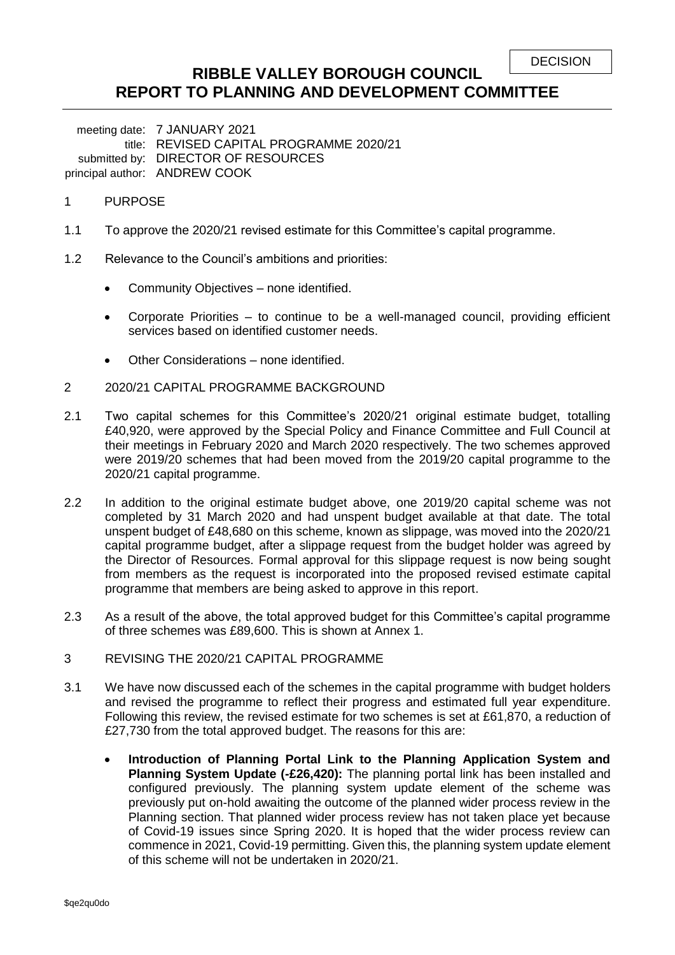```
DECISION
```
## **RIBBLE VALLEY BOROUGH COUNCIL REPORT TO PLANNING AND DEVELOPMENT COMMITTEE**

meeting date: 7 JANUARY 2021 title: REVISED CAPITAL PROGRAMME 2020/21 submitted by: DIRECTOR OF RESOURCES principal author: ANDREW COOK

### 1 PURPOSE

- 1.1 To approve the 2020/21 revised estimate for this Committee's capital programme.
- 1.2 Relevance to the Council's ambitions and priorities:
	- Community Objectives none identified.
	- Corporate Priorities to continue to be a well-managed council, providing efficient services based on identified customer needs.
	- Other Considerations none identified.
- 2 2020/21 CAPITAL PROGRAMME BACKGROUND
- 2.1 Two capital schemes for this Committee's 2020/21 original estimate budget, totalling £40,920, were approved by the Special Policy and Finance Committee and Full Council at their meetings in February 2020 and March 2020 respectively. The two schemes approved were 2019/20 schemes that had been moved from the 2019/20 capital programme to the 2020/21 capital programme.
- 2.2 In addition to the original estimate budget above, one 2019/20 capital scheme was not completed by 31 March 2020 and had unspent budget available at that date. The total unspent budget of £48,680 on this scheme, known as slippage, was moved into the 2020/21 capital programme budget, after a slippage request from the budget holder was agreed by the Director of Resources. Formal approval for this slippage request is now being sought from members as the request is incorporated into the proposed revised estimate capital programme that members are being asked to approve in this report.
- 2.3 As a result of the above, the total approved budget for this Committee's capital programme of three schemes was £89,600. This is shown at Annex 1.
- 3 REVISING THE 2020/21 CAPITAL PROGRAMME
- 3.1 We have now discussed each of the schemes in the capital programme with budget holders and revised the programme to reflect their progress and estimated full year expenditure. Following this review, the revised estimate for two schemes is set at £61,870, a reduction of £27,730 from the total approved budget. The reasons for this are:
	- **Introduction of Planning Portal Link to the Planning Application System and Planning System Update (-£26,420):** The planning portal link has been installed and configured previously. The planning system update element of the scheme was previously put on-hold awaiting the outcome of the planned wider process review in the Planning section. That planned wider process review has not taken place yet because of Covid-19 issues since Spring 2020. It is hoped that the wider process review can commence in 2021, Covid-19 permitting. Given this, the planning system update element of this scheme will not be undertaken in 2020/21.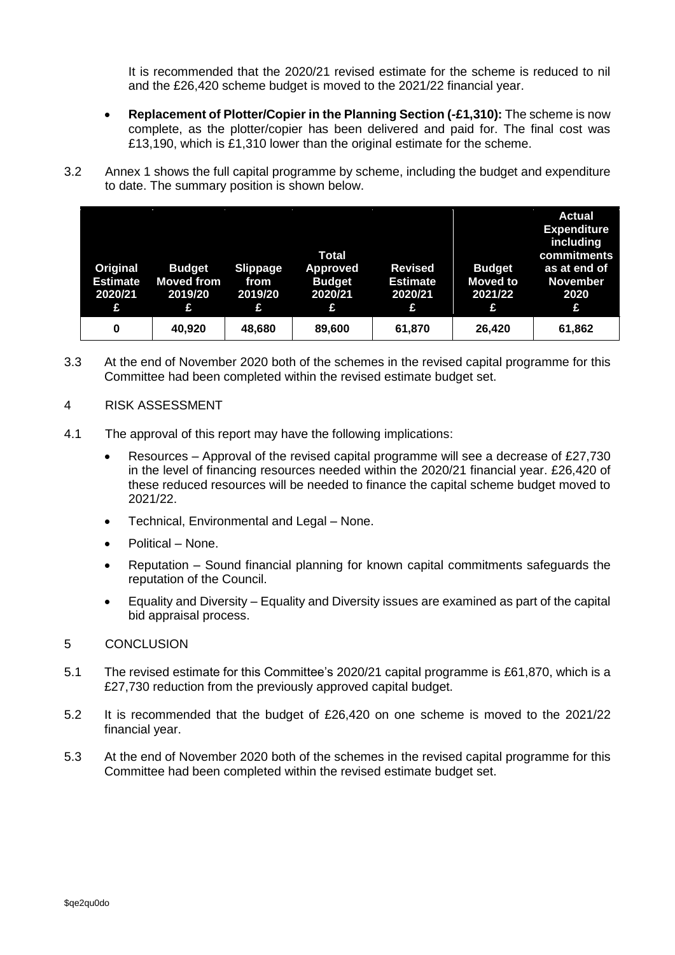It is recommended that the 2020/21 revised estimate for the scheme is reduced to nil and the £26,420 scheme budget is moved to the 2021/22 financial year.

- **Replacement of Plotter/Copier in the Planning Section (-£1,310):** The scheme is now complete, as the plotter/copier has been delivered and paid for. The final cost was £13,190, which is £1,310 lower than the original estimate for the scheme.
- 3.2 Annex 1 shows the full capital programme by scheme, including the budget and expenditure to date. The summary position is shown below.

| Original<br><b>Estimate</b><br>2020/21<br>£ | <b>Budget</b><br><b>Moved from</b><br>2019/20<br>£ | <b>Slippage</b><br>from<br>2019/20<br>£ | <b>Total</b><br><b>Approved</b><br><b>Budget</b><br>2020/21<br>£ | <b>Revised</b><br><b>Estimate</b><br>2020/21<br>£ | <b>Budget</b><br><b>Moved to</b><br>2021/22<br>£ | <b>Actual</b><br><b>Expenditure</b><br>including<br>commitments<br>as at end of<br><b>November</b><br>2020<br>Đ |
|---------------------------------------------|----------------------------------------------------|-----------------------------------------|------------------------------------------------------------------|---------------------------------------------------|--------------------------------------------------|-----------------------------------------------------------------------------------------------------------------|
| 0                                           | 40,920                                             | 48,680                                  | 89,600                                                           | 61,870                                            | 26,420                                           | 61,862                                                                                                          |

- 3.3 At the end of November 2020 both of the schemes in the revised capital programme for this Committee had been completed within the revised estimate budget set.
- 4 RISK ASSESSMENT
- 4.1 The approval of this report may have the following implications:
	- Resources Approval of the revised capital programme will see a decrease of £27,730 in the level of financing resources needed within the 2020/21 financial year. £26,420 of these reduced resources will be needed to finance the capital scheme budget moved to 2021/22.
	- Technical, Environmental and Legal None.
	- Political None.
	- Reputation Sound financial planning for known capital commitments safeguards the reputation of the Council.
	- Equality and Diversity Equality and Diversity issues are examined as part of the capital bid appraisal process.

#### 5 CONCLUSION

- 5.1 The revised estimate for this Committee's 2020/21 capital programme is £61,870, which is a £27,730 reduction from the previously approved capital budget.
- 5.2 It is recommended that the budget of £26,420 on one scheme is moved to the 2021/22 financial year.
- 5.3 At the end of November 2020 both of the schemes in the revised capital programme for this Committee had been completed within the revised estimate budget set.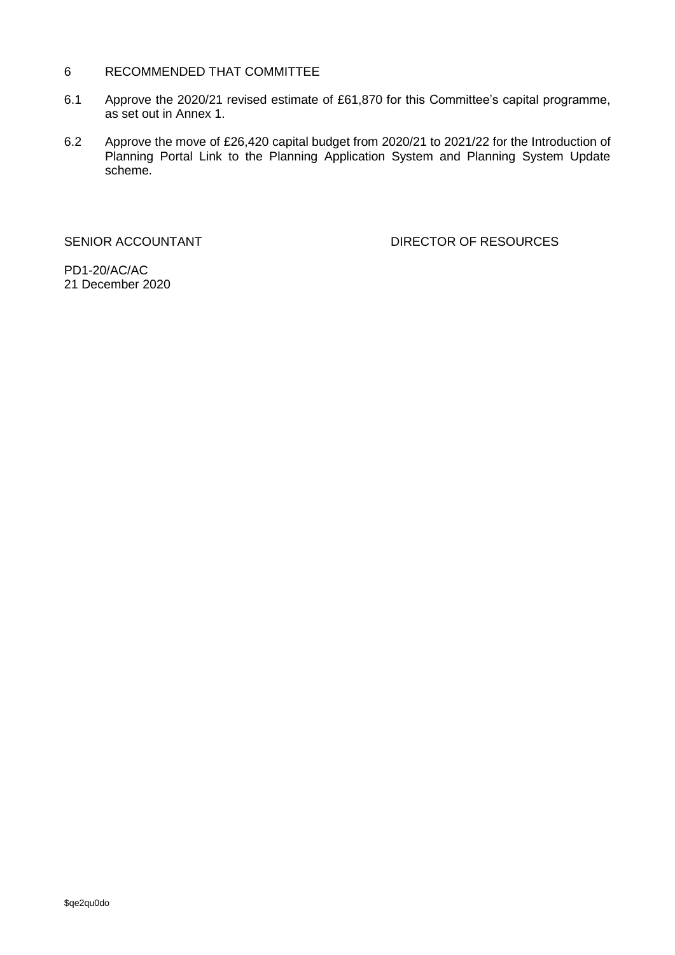#### RECOMMENDED THAT COMMITTEE  $6\overline{6}$

- $6.1$ Approve the 2020/21 revised estimate of £61,870 for this Committee's capital programme, as set out in Annex 1.
- $6.2$ Approve the move of £26,420 capital budget from 2020/21 to 2021/22 for the Introduction of Planning Portal Link to the Planning Application System and Planning System Update scheme.

SENIOR ACCOUNTANT

**DIRECTOR OF RESOURCES** 

PD1-20/AC/AC 21 December 2020